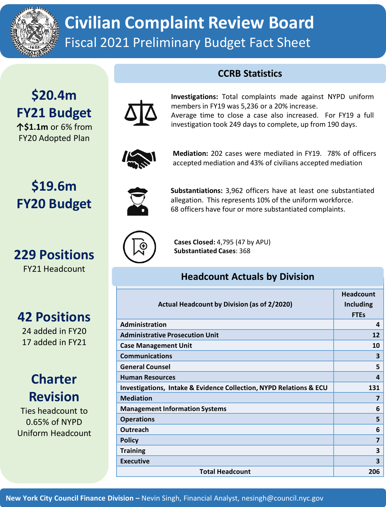

## **Civilian Complaint Review Board** Fiscal 2021 Preliminary Budget Fact Sheet

#### **CCRB Statistics**

## **\$20.4m FY21 Budget**

**↑\$1.1m** or 6% from FY20 Adopted Plan

**\$19.6m**

**FY20 Budget**

**229 Positions**

FY21 Headcount



**Investigations:** Total complaints made against NYPD uniform membersin FY19 was 5,236 or a 20% increase.

Average time to close a case also increased. For FY19 a full investigation took 249 days to complete, up from 190 days.



**Mediation:** 202 cases were mediated in FY19. 78% of officers accepted mediation and 43% of civilians accepted mediation



**Substantiations:** 3,962 officers have at least one substantiated allegation. This represents 10% of the uniform workforce. 68 officers have four or more substantiated complaints.



**Cases Closed:** 4,795 (47 by APU) **Substantiated Cases**: 368

#### **Headcount Actuals by Division**

| Actual Headcount by Division (as of 2/2020)                        | <b>Headcount</b><br><b>Including</b><br><b>FTEs</b> |
|--------------------------------------------------------------------|-----------------------------------------------------|
| Administration                                                     | 4                                                   |
| <b>Administrative Prosecution Unit</b>                             | 12                                                  |
| <b>Case Management Unit</b>                                        | 10                                                  |
| <b>Communications</b>                                              | 3                                                   |
| <b>General Counsel</b>                                             | 5                                                   |
| <b>Human Resources</b>                                             | 4                                                   |
| Investigations, Intake & Evidence Collection, NYPD Relations & ECU | 131                                                 |
| <b>Mediation</b>                                                   | 7                                                   |
| <b>Management Information Systems</b>                              | 6                                                   |
| <b>Operations</b>                                                  | 5                                                   |
| <b>Outreach</b>                                                    | 6                                                   |
| <b>Policy</b>                                                      | $\overline{\mathbf{z}}$                             |
| <b>Training</b>                                                    | 3                                                   |
| <b>Executive</b>                                                   | 3                                                   |
| <b>Total Headcount</b>                                             | 206                                                 |

# **42 Positions**

24 added in FY20 17 added in FY21

### **Charter Revision**

Ties headcount to 0.65% of NYPD Uniform Headcount